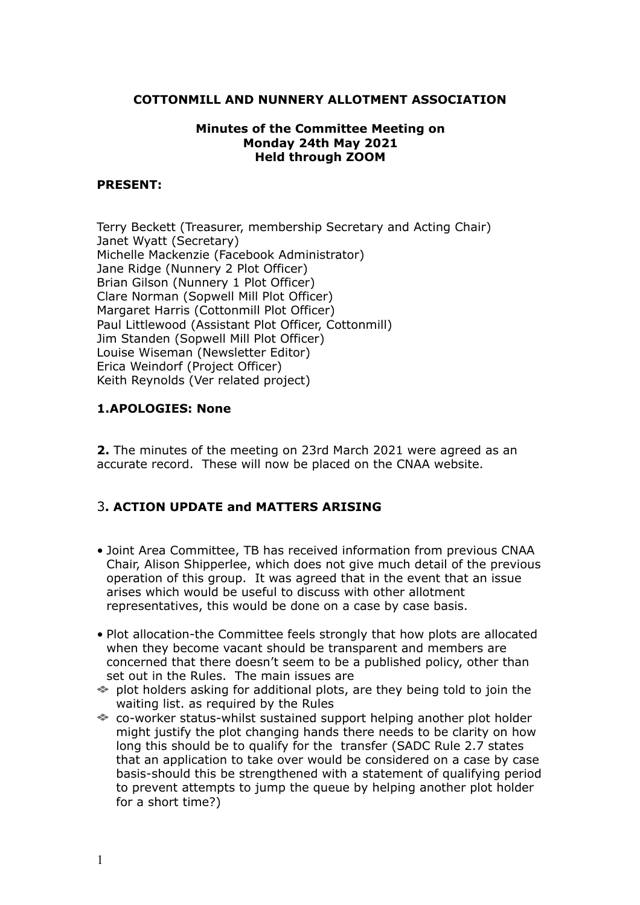#### **COTTONMILL AND NUNNERY ALLOTMENT ASSOCIATION**

#### **Minutes of the Committee Meeting on Monday 24th May 2021 Held through ZOOM**

#### **PRESENT:**

Terry Beckett (Treasurer, membership Secretary and Acting Chair) Janet Wyatt (Secretary) Michelle Mackenzie (Facebook Administrator) Jane Ridge (Nunnery 2 Plot Officer) Brian Gilson (Nunnery 1 Plot Officer) Clare Norman (Sopwell Mill Plot Officer) Margaret Harris (Cottonmill Plot Officer) Paul Littlewood (Assistant Plot Officer, Cottonmill) Jim Standen (Sopwell Mill Plot Officer) Louise Wiseman (Newsletter Editor) Erica Weindorf (Project Officer) Keith Reynolds (Ver related project)

## **1.APOLOGIES: None**

**2.** The minutes of the meeting on 23rd March 2021 were agreed as an accurate record. These will now be placed on the CNAA website.

## 3**. ACTION UPDATE and MATTERS ARISING**

- Joint Area Committee, TB has received information from previous CNAA Chair, Alison Shipperlee, which does not give much detail of the previous operation of this group. It was agreed that in the event that an issue arises which would be useful to discuss with other allotment representatives, this would be done on a case by case basis.
- Plot allocation-the Committee feels strongly that how plots are allocated when they become vacant should be transparent and members are concerned that there doesn't seem to be a published policy, other than set out in the Rules. The main issues are
- $\Rightarrow$  plot holders asking for additional plots, are they being told to join the waiting list. as required by the Rules
- co-worker status-whilst sustained support helping another plot holder might justify the plot changing hands there needs to be clarity on how long this should be to qualify for the transfer (SADC Rule 2.7 states that an application to take over would be considered on a case by case basis-should this be strengthened with a statement of qualifying period to prevent attempts to jump the queue by helping another plot holder for a short time?)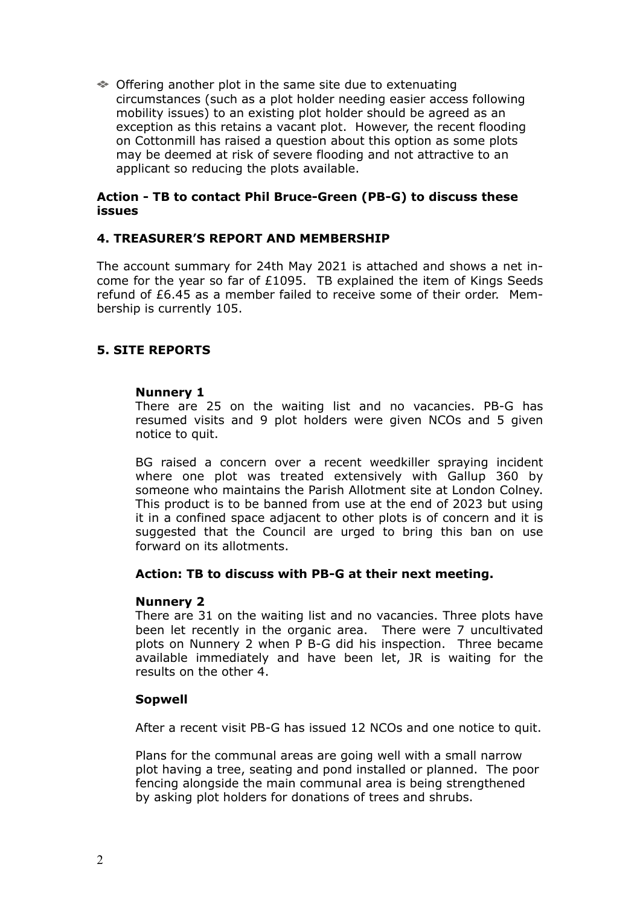Offering another plot in the same site due to extenuating circumstances (such as a plot holder needing easier access following mobility issues) to an existing plot holder should be agreed as an exception as this retains a vacant plot. However, the recent flooding on Cottonmill has raised a question about this option as some plots may be deemed at risk of severe flooding and not attractive to an applicant so reducing the plots available.

#### **Action - TB to contact Phil Bruce-Green (PB-G) to discuss these issues**

## **4. TREASURER'S REPORT AND MEMBERSHIP**

The account summary for 24th May 2021 is attached and shows a net income for the year so far of £1095. TB explained the item of Kings Seeds refund of £6.45 as a member failed to receive some of their order. Membership is currently 105.

## **5. SITE REPORTS**

#### **Nunnery 1**

There are 25 on the waiting list and no vacancies. PB-G has resumed visits and 9 plot holders were given NCOs and 5 given notice to quit.

BG raised a concern over a recent weedkiller spraying incident where one plot was treated extensively with Gallup 360 by someone who maintains the Parish Allotment site at London Colney. This product is to be banned from use at the end of 2023 but using it in a confined space adjacent to other plots is of concern and it is suggested that the Council are urged to bring this ban on use forward on its allotments.

## **Action: TB to discuss with PB-G at their next meeting.**

#### **Nunnery 2**

There are 31 on the waiting list and no vacancies. Three plots have been let recently in the organic area. There were 7 uncultivated plots on Nunnery 2 when P B-G did his inspection. Three became available immediately and have been let, JR is waiting for the results on the other 4.

## **Sopwell**

After a recent visit PB-G has issued 12 NCOs and one notice to quit.

Plans for the communal areas are going well with a small narrow plot having a tree, seating and pond installed or planned. The poor fencing alongside the main communal area is being strengthened by asking plot holders for donations of trees and shrubs.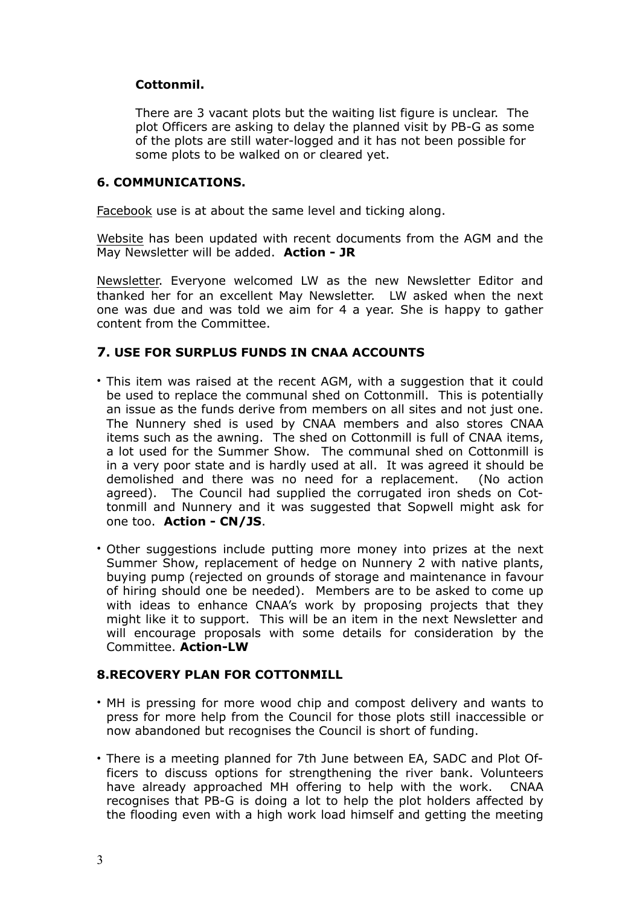## **Cottonmil.**

There are 3 vacant plots but the waiting list figure is unclear. The plot Officers are asking to delay the planned visit by PB-G as some of the plots are still water-logged and it has not been possible for some plots to be walked on or cleared yet.

## **6. COMMUNICATIONS.**

Facebook use is at about the same level and ticking along.

Website has been updated with recent documents from the AGM and the May Newsletter will be added. **Action - JR** 

Newsletter. Everyone welcomed LW as the new Newsletter Editor and thanked her for an excellent May Newsletter. LW asked when the next one was due and was told we aim for 4 a year. She is happy to gather content from the Committee.

## **7. USE FOR SURPLUS FUNDS IN CNAA ACCOUNTS**

- This item was raised at the recent AGM, with a suggestion that it could be used to replace the communal shed on Cottonmill. This is potentially an issue as the funds derive from members on all sites and not just one. The Nunnery shed is used by CNAA members and also stores CNAA items such as the awning. The shed on Cottonmill is full of CNAA items, a lot used for the Summer Show. The communal shed on Cottonmill is in a very poor state and is hardly used at all. It was agreed it should be demolished and there was no need for a replacement. (No action agreed). The Council had supplied the corrugated iron sheds on Cottonmill and Nunnery and it was suggested that Sopwell might ask for one too. **Action - CN/JS**.
- Other suggestions include putting more money into prizes at the next Summer Show, replacement of hedge on Nunnery 2 with native plants, buying pump (rejected on grounds of storage and maintenance in favour of hiring should one be needed). Members are to be asked to come up with ideas to enhance CNAA's work by proposing projects that they might like it to support. This will be an item in the next Newsletter and will encourage proposals with some details for consideration by the Committee. **Action-LW**

## **8.RECOVERY PLAN FOR COTTONMILL**

- MH is pressing for more wood chip and compost delivery and wants to press for more help from the Council for those plots still inaccessible or now abandoned but recognises the Council is short of funding.
- There is a meeting planned for 7th June between EA, SADC and Plot Officers to discuss options for strengthening the river bank. Volunteers have already approached MH offering to help with the work. CNAA recognises that PB-G is doing a lot to help the plot holders affected by the flooding even with a high work load himself and getting the meeting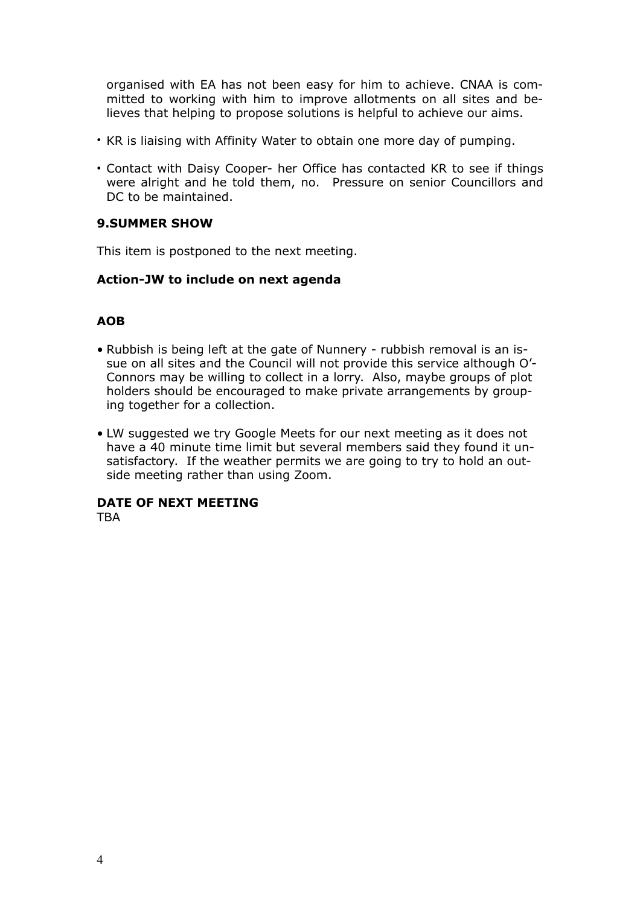organised with EA has not been easy for him to achieve. CNAA is committed to working with him to improve allotments on all sites and believes that helping to propose solutions is helpful to achieve our aims.

- KR is liaising with Affinity Water to obtain one more day of pumping.
- Contact with Daisy Cooper- her Office has contacted KR to see if things were alright and he told them, no. Pressure on senior Councillors and DC to be maintained.

## **9.SUMMER SHOW**

This item is postponed to the next meeting.

## **Action-JW to include on next agenda**

## **AOB**

- Rubbish is being left at the gate of Nunnery rubbish removal is an issue on all sites and the Council will not provide this service although O'- Connors may be willing to collect in a lorry. Also, maybe groups of plot holders should be encouraged to make private arrangements by grouping together for a collection.
- LW suggested we try Google Meets for our next meeting as it does not have a 40 minute time limit but several members said they found it unsatisfactory. If the weather permits we are going to try to hold an outside meeting rather than using Zoom.

## **DATE OF NEXT MEETING**

**TRA**